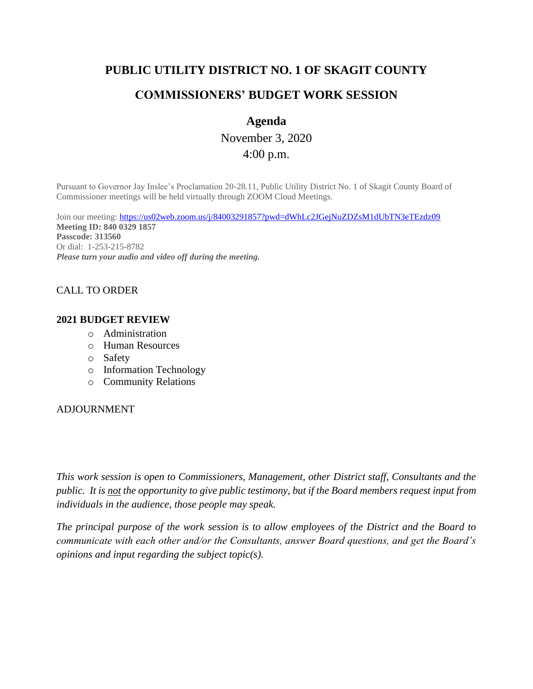# **PUBLIC UTILITY DISTRICT NO. 1 OF SKAGIT COUNTY**

### **COMMISSIONERS' BUDGET WORK SESSION**

## **Agenda**

November 3, 2020 4:00 p.m.

Pursuant to Governor Jay Inslee's Proclamation 20-28.11, Public Utility District No. 1 of Skagit County Board of Commissioner meetings will be held virtually through ZOOM Cloud Meetings.

Join our meeting: <https://us02web.zoom.us/j/84003291857?pwd=dWhLc2JGejNuZDZsM1dUbTN3eTEzdz09> **Meeting ID: 840 0329 1857 Passcode: 313560** Or dial: 1-253-215-8782 *Please turn your audio and video off during the meeting.* 

#### CALL TO ORDER

#### **2021 BUDGET REVIEW**

- o Administration
- o Human Resources
- o Safety
- o Information Technology
- o Community Relations

#### ADJOURNMENT

*This work session is open to Commissioners, Management, other District staff, Consultants and the public. It is not the opportunity to give public testimony, but if the Board members request input from individuals in the audience, those people may speak.*

*The principal purpose of the work session is to allow employees of the District and the Board to communicate with each other and/or the Consultants, answer Board questions, and get the Board's opinions and input regarding the subject topic(s).*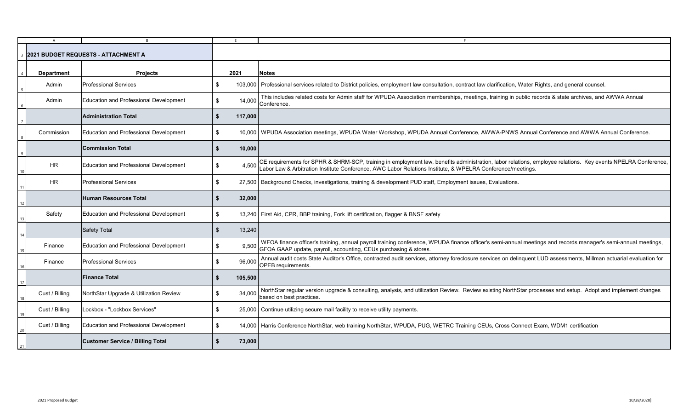|    | $\overline{A}$                      |                                         | F.             | F.                                                                                                                                                                                                                                |
|----|-------------------------------------|-----------------------------------------|----------------|-----------------------------------------------------------------------------------------------------------------------------------------------------------------------------------------------------------------------------------|
|    | 2021 BUDGET REQUESTS - ATTACHMENT A |                                         |                |                                                                                                                                                                                                                                   |
|    | <b>Department</b>                   | <b>Projects</b>                         | 2021           | <b>Notes</b>                                                                                                                                                                                                                      |
|    | Admin                               | <b>Professional Services</b>            | \$             | 103,000   Professional services related to District policies, employment law consultation, contract law clarification, Water Rights, and general counsel.                                                                         |
|    | Admin                               | Education and Professional Development  | 14,000<br>\$   | This includes related costs for Admin staff for WPUDA Association memberships, meetings, training in public records & state archives, and AWWA Annual<br>Conference.                                                              |
|    |                                     | <b>Administration Total</b>             | 117,000<br>\$. |                                                                                                                                                                                                                                   |
|    | Commission                          | Education and Professional Development  | \$             | 10,000   WPUDA Association meetings, WPUDA Water Workshop, WPUDA Annual Conference, AWWA-PNWS Annual Conference and AWWA Annual Conference.                                                                                       |
|    |                                     | <b>Commission Total</b>                 | 10,000<br>\$   |                                                                                                                                                                                                                                   |
|    | <b>HR</b>                           | Education and Professional Development  | 4.500<br>\$    | CE requirements for SPHR & SHRM-SCP, training in employment law, benefits administration, labor relations, employee relations. Key events NPELRA Conference,<br>Labor Law & Arbitration Institute Conference, AWC Labor Relations |
|    | <b>HR</b>                           | Professional Services                   | \$             | 27,500 Background Checks, investigations, training & development PUD staff, Employment issues, Evaluations.                                                                                                                       |
|    |                                     | <b>Human Resources Total</b>            | 32,000<br>\$   |                                                                                                                                                                                                                                   |
|    | Safety                              | Education and Professional Development  | \$             | 13,240   First Aid, CPR, BBP training, Fork lift certification, flagger & BNSF safety                                                                                                                                             |
|    |                                     | <b>Safety Total</b>                     | 13,240<br>\$   |                                                                                                                                                                                                                                   |
|    | Finance                             | Education and Professional Development  | 9.500<br>\$    | WFOA finance officer's training, annual payroll training conference, WPUDA finance officer's semi-annual meetings and records manager's semi-annual meetings,<br>GFOA GAAP update, payroll, accounting, CEUs purchasing & stores. |
|    | Finance                             | <b>Professional Services</b>            | 96,000<br>\$   | Annual audit costs State Auditor's Office, contracted audit services, attorney foreclosure services on delinquent LUD assessments, Millman actuarial evaluation for<br><b>OPEB</b> requirements.                                  |
|    |                                     | <b>Finance Total</b>                    | 105,500<br>\$. |                                                                                                                                                                                                                                   |
|    | Cust / Billing                      | NorthStar Upgrade & Utilization Review  | 34.000<br>\$   | NorthStar regular version upgrade & consulting, analysis, and utilization Review. Review existing NorthStar processes and setup. Adopt and implement changes<br>based on best practices.                                          |
| 19 | Cust / Billing                      | Lockbox - "Lockbox Services"            | \$             | 25,000 Continue utilizing secure mail facility to receive utility payments.                                                                                                                                                       |
| 20 | Cust / Billing                      | Education and Professional Development  | \$             | 14,000 Harris Conference NorthStar, web training NorthStar, WPUDA, PUG, WETRC Training CEUs, Cross Connect Exam, WDM1 certification                                                                                               |
|    |                                     | <b>Customer Service / Billing Total</b> | \$<br>73,000   |                                                                                                                                                                                                                                   |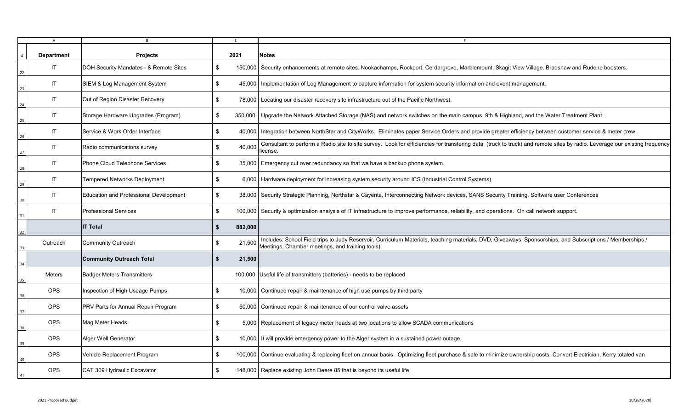|    | $\overline{A}$    | <b>B</b>                               | E              | F.                                                                                                                                                                                                            |
|----|-------------------|----------------------------------------|----------------|---------------------------------------------------------------------------------------------------------------------------------------------------------------------------------------------------------------|
|    | <b>Department</b> | <b>Projects</b>                        | 2021           | <b>Notes</b>                                                                                                                                                                                                  |
| 22 | IT.               | DOH Security Mandates - & Remote Sites | \$             | 150,000 Security enhancements at remote sites. Nookachamps, Rockport, Cerdargrove, Marblemount, Skagit View Village. Bradshaw and Rudene boosters.                                                            |
| 23 | IT                | SIEM & Log Management System           | \$             | 45,000   Implementation of Log Management to capture information for system security information and event management.                                                                                        |
| 24 | IT.               | Out of Region Disaster Recovery        | \$<br>78,000   | Locating our disaster recovery site infrastructure out of the Pacific Northwest.                                                                                                                              |
| 25 | IT.               | Storage Hardware Upgrades (Program)    | \$<br>350,000  | Upgrade the Network Attached Storage (NAS) and network switches on the main campus, 9th & Highland, and the Water Treatment Plant.                                                                            |
| 26 | IT                | Service & Work Order Interface         | \$             | 40,000 Integration between NorthStar and CityWorks. Eliminates paper Service Orders and provide greater efficiency between customer service & meter crew.                                                     |
| 27 | IT                | Radio communications survey            | 40,000<br>\$   | Consultant to perform a Radio site to site survey. Look for efficiencies for transfering data (truck to truck) and remote sites by radio. Leverage our existing frequency<br>license.                         |
| 28 | $\mathsf{I}$      | Phone Cloud Telephone Services         | \$<br>35,000   | Emergency cut over redundancy so that we have a backup phone system.                                                                                                                                          |
| 29 | IT.               | <b>Tempered Networks Deployment</b>    | \$             | 6,000   Hardware deployment for increasing system security around ICS (Industrial Control Systems)                                                                                                            |
| 30 | IT.               | Education and Professional Development | \$             | 38,000 Security Strategic Planning, Northstar & Cayenta, Interconnecting Network devices, SANS Security Training, Software user Conferences                                                                   |
| 31 | IT.               | <b>Professional Services</b>           | \$             | 100,000 Security & optimization analysis of IT infrastructure to improve performance, reliability, and operations. On call network support.                                                                   |
| 32 |                   | <b>IT Total</b>                        | 882,000<br>\$. |                                                                                                                                                                                                               |
| 33 | Outreach          | <b>Community Outreach</b>              | \$<br>21,500   | Includes: School Field trips to Judy Reservoir, Curriculum Materials, teaching materials, DVD, Giveaways, Sponsorships, and Subscriptions / Memberships /<br>Meetings, Chamber meetings, and training tools). |
| 34 |                   | <b>Community Outreach Total</b>        | \$<br>21,500   |                                                                                                                                                                                                               |
| 35 | Meters            | <b>Badger Meters Transmitters</b>      |                | 100,000 Useful life of transmitters (batteries) - needs to be replaced                                                                                                                                        |
| 36 | <b>OPS</b>        | Inspection of High Useage Pumps        | \$             | 10,000 Continued repair & maintenance of high use pumps by third party                                                                                                                                        |
| 37 | <b>OPS</b>        | PRV Parts for Annual Repair Program    | \$             | 50,000 Continued repair & maintenance of our control valve assets                                                                                                                                             |
| 38 | OPS               | Mag Meter Heads                        | \$             | 5,000 Replacement of legacy meter heads at two locations to allow SCADA communications                                                                                                                        |
| 39 | <b>OPS</b>        | Alger Well Generator                   | \$             | 10,000 It will provide emergency power to the Alger system in a sustained power outage.                                                                                                                       |
| 40 | <b>OPS</b>        | Vehicle Replacement Program            | \$             | 100,000 Continue evaluating & replacing fleet on annual basis. Optimizing fleet purchase & sale to minimize ownership costs. Convert Electrician, Kerry totaled van                                           |
| 41 | <b>OPS</b>        | CAT 309 Hydraulic Excavator            | \$             | 148,000 Replace existing John Deere 85 that is beyond its useful life                                                                                                                                         |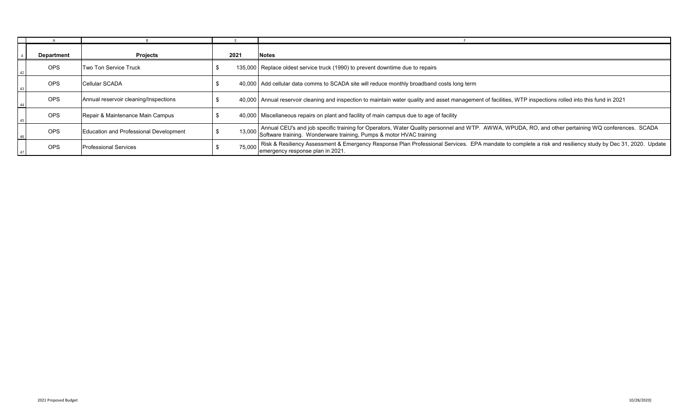|    | <b>Department</b> | <b>Projects</b>                        | 2021   | <b>Notes</b>                                                                                                                                                                                                              |
|----|-------------------|----------------------------------------|--------|---------------------------------------------------------------------------------------------------------------------------------------------------------------------------------------------------------------------------|
| 42 | <b>OPS</b>        | <b>Two Ton Service Truck</b>           |        | 135,000   Replace oldest service truck (1990) to prevent downtime due to repairs                                                                                                                                          |
| 43 | <b>OPS</b>        | Cellular SCADA                         |        | 40,000 Add cellular data comms to SCADA site will reduce monthly broadband costs long term                                                                                                                                |
| 44 | <b>OPS</b>        | Annual reservoir cleaning/Inspections  |        | 40,000   Annual reservoir cleaning and inspection to maintain water quality and asset management of facilities, WTP inspections rolled into this fund in 2021                                                             |
| 45 | <b>OPS</b>        | Repair & Maintenance Main Campus       |        | 40,000   Miscellaneous repairs on plant and facility of main campus due to age of facility                                                                                                                                |
|    | <b>OPS</b>        | Education and Professional Development | 13,000 | Annual CEU's and job specific training for Operators, Water Quality personnel and WTP. AWWA, WPUDA, RO, and other pertaining WQ conferences. SCADA<br>Software training. Wonderware training, Pumps & motor HVAC training |
| 47 | <b>OPS</b>        | <b>Professional Services</b>           | 75,000 | Risk & Resiliency Assessment & Emergency Response Plan Professional Services. EPA mandate to complete a risk and resiliency study by Dec 31, 2020. Update<br>emergency response plan in 2021.                             |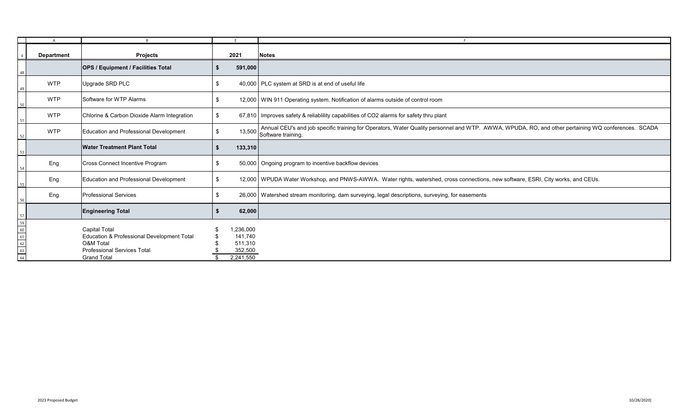|                                                                       | $\mathsf{A}$      |                                                         |                    |                                                                                                                                                                          |
|-----------------------------------------------------------------------|-------------------|---------------------------------------------------------|--------------------|--------------------------------------------------------------------------------------------------------------------------------------------------------------------------|
|                                                                       | <b>Department</b> | <b>Projects</b>                                         | 2021               | <b>Notes</b>                                                                                                                                                             |
| 48                                                                    |                   | <b>OPS / Equipment / Facilities Total</b>               | 591,000            |                                                                                                                                                                          |
| 49                                                                    | <b>WTP</b>        | Upgrade SRD PLC                                         |                    | 40,000   PLC system at SRD is at end of useful life                                                                                                                      |
| 50                                                                    | <b>WTP</b>        | Software for WTP Alarms                                 |                    | 12,000   WIN 911 Operating system. Notification of alarms outside of control room                                                                                        |
| 51                                                                    | <b>WTP</b>        | Chlorine & Carbon Dioxide Alarm Integration             |                    | 67,810   Improves safety & reliablility capabilities of CO2 alarms for safety thru plant                                                                                 |
| 52                                                                    | <b>WTP</b>        | Education and Professional Development                  | 13,500             | Annual CEU's and job specific training for Operators, Water Quality personnel and WTP. AWWA, WPUDA, RO, and other pertaining WQ conferences. SCADA<br>Software training. |
| 53                                                                    |                   | <b>Water Treatment Plant Total</b>                      | 133,310            |                                                                                                                                                                          |
| $\frac{54}{1}$                                                        | Eng               | Cross Connect Incentive Program                         |                    | 50,000   Ongoing program to incentive backflow devices                                                                                                                   |
| 55                                                                    | Eng               | Education and Professional Development                  |                    | 12,000   WPUDA Water Workshop, and PNWS-AWWA. Water rights, watershed, cross connections, new software, ESRI, City works, and CEUs.                                      |
| 56                                                                    | Eng               | <b>Professional Services</b>                            |                    | 26,000   Watershed stream monitoring, dam surveying, legal descriptions, surveying, for easements                                                                        |
|                                                                       |                   | <b>Engineering Total</b>                                | 62,000             |                                                                                                                                                                          |
|                                                                       |                   |                                                         |                    |                                                                                                                                                                          |
|                                                                       |                   | <b>Capital Total</b>                                    | 1,236,000          |                                                                                                                                                                          |
|                                                                       |                   | Education & Professional Development Total<br>O&M Total | 141,740            |                                                                                                                                                                          |
|                                                                       |                   | <b>Professional Services Total</b>                      | 511,310<br>352,500 |                                                                                                                                                                          |
| $\begin{array}{r} 57 \\ 59 \\ 60 \\ 61 \\ 62 \\ 63 \\ 64 \end{array}$ |                   | <b>Grand Total</b>                                      | 2,241,550          |                                                                                                                                                                          |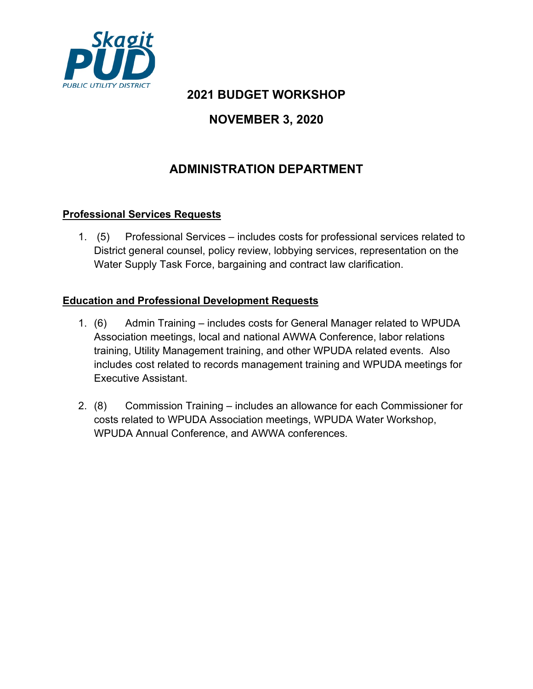

## **NOVEMBER 3, 2020**

## **ADMINISTRATION DEPARTMENT**

### **Professional Services Requests**

1. (5) Professional Services – includes costs for professional services related to District general counsel, policy review, lobbying services, representation on the Water Supply Task Force, bargaining and contract law clarification.

### **Education and Professional Development Requests**

- 1. (6) Admin Training includes costs for General Manager related to WPUDA Association meetings, local and national AWWA Conference, labor relations training, Utility Management training, and other WPUDA related events. Also includes cost related to records management training and WPUDA meetings for Executive Assistant.
- 2. (8) Commission Training includes an allowance for each Commissioner for costs related to WPUDA Association meetings, WPUDA Water Workshop, WPUDA Annual Conference, and AWWA conferences.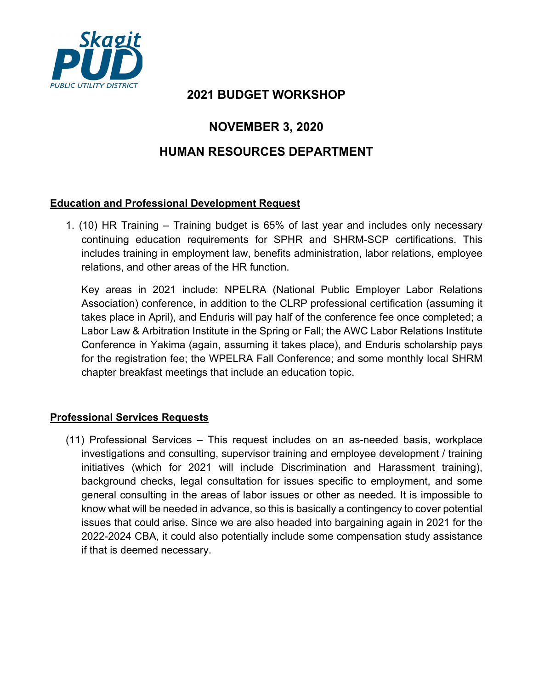

## **NOVEMBER 3, 2020**

## **HUMAN RESOURCES DEPARTMENT**

### **Education and Professional Development Request**

1. (10) HR Training – Training budget is 65% of last year and includes only necessary continuing education requirements for SPHR and SHRM-SCP certifications. This includes training in employment law, benefits administration, labor relations, employee relations, and other areas of the HR function.

Key areas in 2021 include: NPELRA (National Public Employer Labor Relations Association) conference, in addition to the CLRP professional certification (assuming it takes place in April), and Enduris will pay half of the conference fee once completed; a Labor Law & Arbitration Institute in the Spring or Fall; the AWC Labor Relations Institute Conference in Yakima (again, assuming it takes place), and Enduris scholarship pays for the registration fee; the WPELRA Fall Conference; and some monthly local SHRM chapter breakfast meetings that include an education topic.

#### **Professional Services Requests**

(11) Professional Services – This request includes on an as-needed basis, workplace investigations and consulting, supervisor training and employee development / training initiatives (which for 2021 will include Discrimination and Harassment training), background checks, legal consultation for issues specific to employment, and some general consulting in the areas of labor issues or other as needed. It is impossible to know what will be needed in advance, so this is basically a contingency to cover potential issues that could arise. Since we are also headed into bargaining again in 2021 for the 2022-2024 CBA, it could also potentially include some compensation study assistance if that is deemed necessary.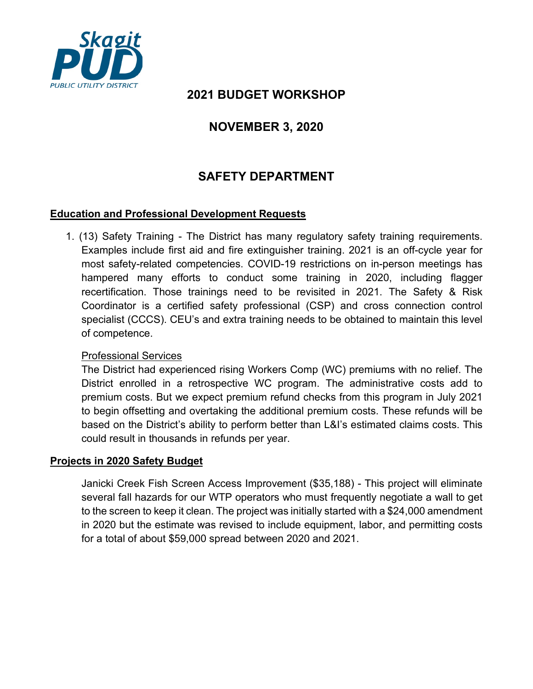

### **NOVEMBER 3, 2020**

# **SAFETY DEPARTMENT**

### **Education and Professional Development Requests**

1. (13) Safety Training - The District has many regulatory safety training requirements. Examples include first aid and fire extinguisher training. 2021 is an off-cycle year for most safety-related competencies. COVID-19 restrictions on in-person meetings has hampered many efforts to conduct some training in 2020, including flagger recertification. Those trainings need to be revisited in 2021. The Safety & Risk Coordinator is a certified safety professional (CSP) and cross connection control specialist (CCCS). CEU's and extra training needs to be obtained to maintain this level of competence.

#### Professional Services

The District had experienced rising Workers Comp (WC) premiums with no relief. The District enrolled in a retrospective WC program. The administrative costs add to premium costs. But we expect premium refund checks from this program in July 2021 to begin offsetting and overtaking the additional premium costs. These refunds will be based on the District's ability to perform better than L&I's estimated claims costs. This could result in thousands in refunds per year.

#### **Projects in 2020 Safety Budget**

Janicki Creek Fish Screen Access Improvement (\$35,188) - This project will eliminate several fall hazards for our WTP operators who must frequently negotiate a wall to get to the screen to keep it clean. The project was initially started with a \$24,000 amendment in 2020 but the estimate was revised to include equipment, labor, and permitting costs for a total of about \$59,000 spread between 2020 and 2021.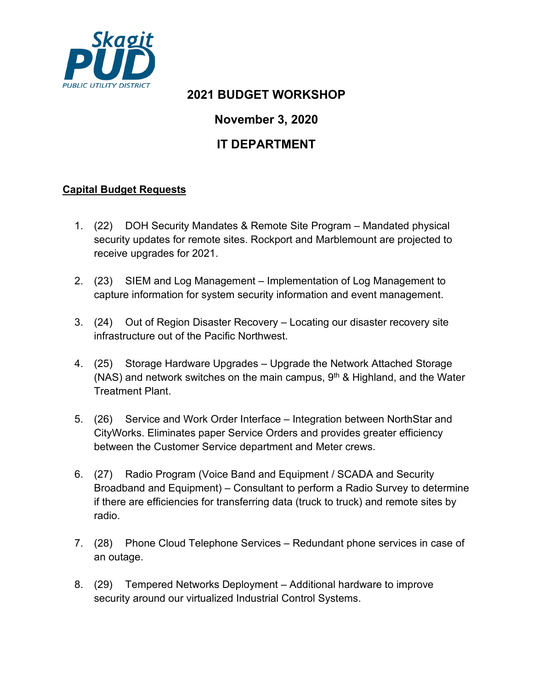

## **November 3, 2020**

## **IT DEPARTMENT**

### **Capital Budget Requests**

- 1. (22) DOH Security Mandates & Remote Site Program Mandated physical security updates for remote sites. Rockport and Marblemount are projected to receive upgrades for 2021.
- 2. (23) SIEM and Log Management Implementation of Log Management to capture information for system security information and event management.
- 3. (24) Out of Region Disaster Recovery Locating our disaster recovery site infrastructure out of the Pacific Northwest.
- 4. (25) Storage Hardware Upgrades Upgrade the Network Attached Storage (NAS) and network switches on the main campus,  $9<sup>th</sup>$  & Highland, and the Water Treatment Plant.
- 5. (26) Service and Work Order Interface Integration between NorthStar and CityWorks. Eliminates paper Service Orders and provides greater efficiency between the Customer Service department and Meter crews.
- 6. (27) Radio Program (Voice Band and Equipment / SCADA and Security Broadband and Equipment) – Consultant to perform a Radio Survey to determine if there are efficiencies for transferring data (truck to truck) and remote sites by radio.
- 7. (28) Phone Cloud Telephone Services Redundant phone services in case of an outage.
- 8. (29) Tempered Networks Deployment Additional hardware to improve security around our virtualized Industrial Control Systems.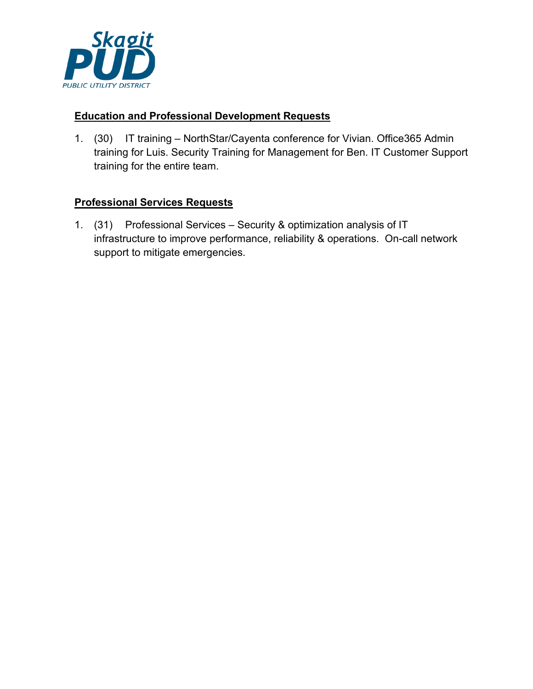

#### **Education and Professional Development Requests**

1. (30) IT training – NorthStar/Cayenta conference for Vivian. Office365 Admin training for Luis. Security Training for Management for Ben. IT Customer Support training for the entire team.

### **Professional Services Requests**

1. (31) Professional Services – Security & optimization analysis of IT infrastructure to improve performance, reliability & operations. On-call network support to mitigate emergencies.